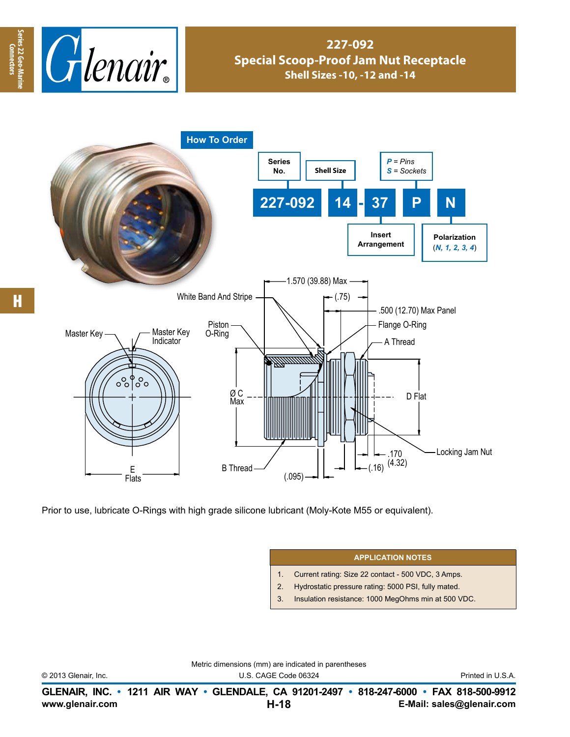

## **227-092 Special Scoop-Proof Jam Nut Receptacle Shell Sizes -10, -12 and -14**



Prior to use, lubricate O-Rings with high grade silicone lubricant (Moly-Kote M55 or equivalent).

## **APPLICATION NOTES**

- 1. Current rating: Size 22 contact 500 VDC, 3 Amps.
- 2. Hydrostatic pressure rating: 5000 PSI, fully mated.
- 3. Insulation resistance: 1000 MegOhms min at 500 VDC.

Metric dimensions (mm) are indicated in parentheses

© 2013 Glenair, Inc. U.S. CAGE Code 06324 Printed in U.S.A.

**www.glenair.com E-Mail: sales@glenair.com GLENAIR, INC. • 1211 AIR WAY • GLENDALE, CA 91201-2497 • 818-247-6000 • FAX 818-500-9912 H-18**

**Series 22 Geo-Marine Connectors**

Series 22 Geo-Ma

**Connectors**